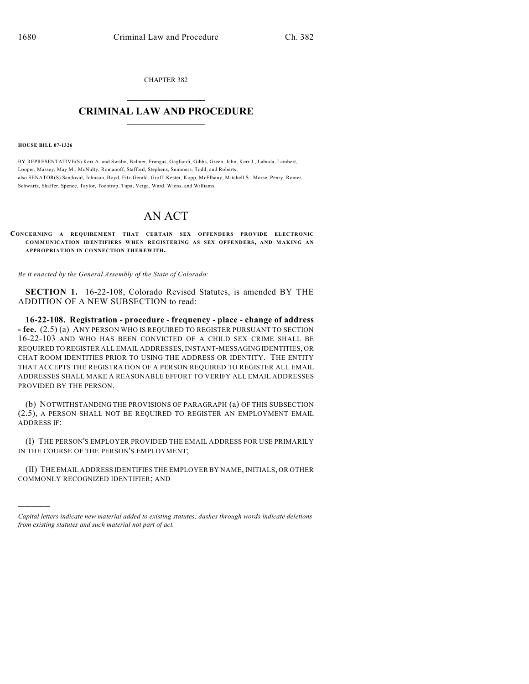CHAPTER 382  $\overline{\phantom{a}}$  . The set of the set of the set of the set of the set of the set of the set of the set of the set of the set of the set of the set of the set of the set of the set of the set of the set of the set of the set o

## **CRIMINAL LAW AND PROCEDURE**  $\frac{1}{2}$  ,  $\frac{1}{2}$  ,  $\frac{1}{2}$  ,  $\frac{1}{2}$  ,  $\frac{1}{2}$  ,  $\frac{1}{2}$  ,  $\frac{1}{2}$

**HOUSE BILL 07-1326**

)))))

BY REPRESENTATIVE(S) Kerr A. and Swalm, Balmer, Frangas, Gagliardi, Gibbs, Green, Jahn, Kerr J., Labuda, Lambert, Looper, Massey, May M., McNulty, Romanoff, Stafford, Stephens, Summers, Todd, and Roberts; also SENATOR(S) Sandoval, Johnson, Boyd, Fitz-Gerald, Groff, Kester, Kopp, McElhany, Mitchell S., Morse, Penry, Romer, Schwartz, Shaffer, Spence, Taylor, Tochtrop, Tupa, Veiga, Ward, Wiens, and Williams.

## AN ACT

**CONCERNING A REQUIREMENT THAT CERTAIN SEX OFFENDERS PROVIDE ELECTRONIC COMMUNICATION IDENTIFIERS WHEN REGISTERING AS SEX OFFENDERS, AND MAKING AN APPROPRIATION IN CONNECTION THEREWITH.**

*Be it enacted by the General Assembly of the State of Colorado:*

**SECTION 1.** 16-22-108, Colorado Revised Statutes, is amended BY THE ADDITION OF A NEW SUBSECTION to read:

**16-22-108. Registration - procedure - frequency - place - change of address - fee.** (2.5) (a) ANY PERSON WHO IS REQUIRED TO REGISTER PURSUANT TO SECTION 16-22-103 AND WHO HAS BEEN CONVICTED OF A CHILD SEX CRIME SHALL BE REQUIRED TO REGISTER ALL EMAIL ADDRESSES, INSTANT-MESSAGING IDENTITIES, OR CHAT ROOM IDENTITIES PRIOR TO USING THE ADDRESS OR IDENTITY. THE ENTITY THAT ACCEPTS THE REGISTRATION OF A PERSON REQUIRED TO REGISTER ALL EMAIL ADDRESSES SHALL MAKE A REASONABLE EFFORT TO VERIFY ALL EMAIL ADDRESSES PROVIDED BY THE PERSON.

(b) NOTWITHSTANDING THE PROVISIONS OF PARAGRAPH (a) OF THIS SUBSECTION (2.5), A PERSON SHALL NOT BE REQUIRED TO REGISTER AN EMPLOYMENT EMAIL ADDRESS IF:

(I) THE PERSON'S EMPLOYER PROVIDED THE EMAIL ADDRESS FOR USE PRIMARILY IN THE COURSE OF THE PERSON'S EMPLOYMENT;

(II) THE EMAIL ADDRESS IDENTIFIES THE EMPLOYER BY NAME, INITIALS, OR OTHER COMMONLY RECOGNIZED IDENTIFIER; AND

*Capital letters indicate new material added to existing statutes; dashes through words indicate deletions from existing statutes and such material not part of act.*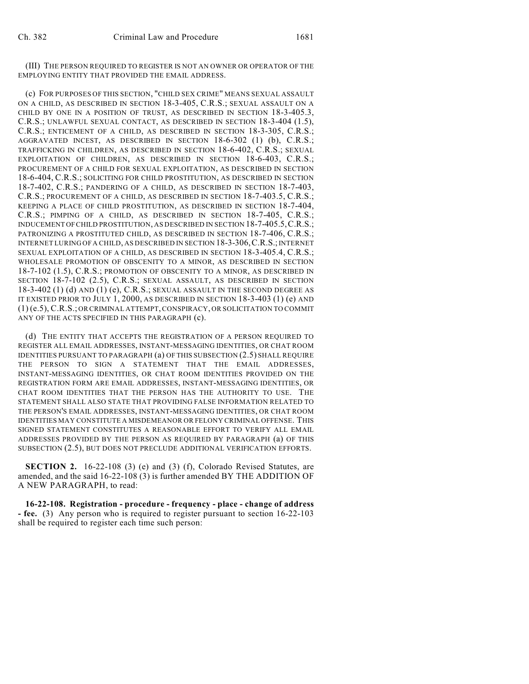(III) THE PERSON REQUIRED TO REGISTER IS NOT AN OWNER OR OPERATOR OF THE EMPLOYING ENTITY THAT PROVIDED THE EMAIL ADDRESS.

(c) FOR PURPOSES OF THIS SECTION, "CHILD SEX CRIME" MEANS SEXUAL ASSAULT ON A CHILD, AS DESCRIBED IN SECTION 18-3-405, C.R.S.; SEXUAL ASSAULT ON A CHILD BY ONE IN A POSITION OF TRUST, AS DESCRIBED IN SECTION 18-3-405.3, C.R.S.; UNLAWFUL SEXUAL CONTACT, AS DESCRIBED IN SECTION 18-3-404 (1.5), C.R.S.; ENTICEMENT OF A CHILD, AS DESCRIBED IN SECTION 18-3-305, C.R.S.; AGGRAVATED INCEST, AS DESCRIBED IN SECTION 18-6-302 (1) (b), C.R.S.; TRAFFICKING IN CHILDREN, AS DESCRIBED IN SECTION 18-6-402, C.R.S.; SEXUAL EXPLOITATION OF CHILDREN, AS DESCRIBED IN SECTION 18-6-403, C.R.S.; PROCUREMENT OF A CHILD FOR SEXUAL EXPLOITATION, AS DESCRIBED IN SECTION 18-6-404, C.R.S.; SOLICITING FOR CHILD PROSTITUTION, AS DESCRIBED IN SECTION 18-7-402, C.R.S.; PANDERING OF A CHILD, AS DESCRIBED IN SECTION 18-7-403, C.R.S.; PROCUREMENT OF A CHILD, AS DESCRIBED IN SECTION 18-7-403.5, C.R.S.; KEEPING A PLACE OF CHILD PROSTITUTION, AS DESCRIBED IN SECTION 18-7-404, C.R.S.; PIMPING OF A CHILD, AS DESCRIBED IN SECTION 18-7-405, C.R.S.; INDUCEMENT OF CHILD PROSTITUTION, AS DESCRIBED IN SECTION 18-7-405.5,C.R.S.; PATRONIZING A PROSTITUTED CHILD, AS DESCRIBED IN SECTION 18-7-406, C.R.S.; INTERNET LURING OF A CHILD, AS DESCRIBED IN SECTION 18-3-306,C.R.S.; INTERNET SEXUAL EXPLOITATION OF A CHILD, AS DESCRIBED IN SECTION 18-3-405.4, C.R.S.; WHOLESALE PROMOTION OF OBSCENITY TO A MINOR, AS DESCRIBED IN SECTION 18-7-102 (1.5), C.R.S.; PROMOTION OF OBSCENITY TO A MINOR, AS DESCRIBED IN SECTION 18-7-102 (2.5), C.R.S.; SEXUAL ASSAULT, AS DESCRIBED IN SECTION  $18-3-402$  (1) (d) AND (1) (e), C.R.S.; SEXUAL ASSAULT IN THE SECOND DEGREE AS IT EXISTED PRIOR TO JULY 1, 2000, AS DESCRIBED IN SECTION 18-3-403 (1) (e) AND (1) (e.5), C.R.S.; OR CRIMINAL ATTEMPT, CONSPIRACY, OR SOLICITATION TO COMMIT ANY OF THE ACTS SPECIFIED IN THIS PARAGRAPH (c).

(d) THE ENTITY THAT ACCEPTS THE REGISTRATION OF A PERSON REQUIRED TO REGISTER ALL EMAIL ADDRESSES, INSTANT-MESSAGING IDENTITIES, OR CHAT ROOM IDENTITIES PURSUANT TO PARAGRAPH (a) OF THIS SUBSECTION (2.5) SHALL REQUIRE THE PERSON TO SIGN A STATEMENT THAT THE EMAIL ADDRESSES, INSTANT-MESSAGING IDENTITIES, OR CHAT ROOM IDENTITIES PROVIDED ON THE REGISTRATION FORM ARE EMAIL ADDRESSES, INSTANT-MESSAGING IDENTITIES, OR CHAT ROOM IDENTITIES THAT THE PERSON HAS THE AUTHORITY TO USE. THE STATEMENT SHALL ALSO STATE THAT PROVIDING FALSE INFORMATION RELATED TO THE PERSON'S EMAIL ADDRESSES, INSTANT-MESSAGING IDENTITIES, OR CHAT ROOM IDENTITIES MAY CONSTITUTE A MISDEMEANOR OR FELONY CRIMINAL OFFENSE. THIS SIGNED STATEMENT CONSTITUTES A REASONABLE EFFORT TO VERIFY ALL EMAIL ADDRESSES PROVIDED BY THE PERSON AS REQUIRED BY PARAGRAPH (a) OF THIS SUBSECTION (2.5), BUT DOES NOT PRECLUDE ADDITIONAL VERIFICATION EFFORTS.

**SECTION 2.** 16-22-108 (3) (e) and (3) (f), Colorado Revised Statutes, are amended, and the said 16-22-108 (3) is further amended BY THE ADDITION OF A NEW PARAGRAPH, to read:

**16-22-108. Registration - procedure - frequency - place - change of address - fee.** (3) Any person who is required to register pursuant to section 16-22-103 shall be required to register each time such person: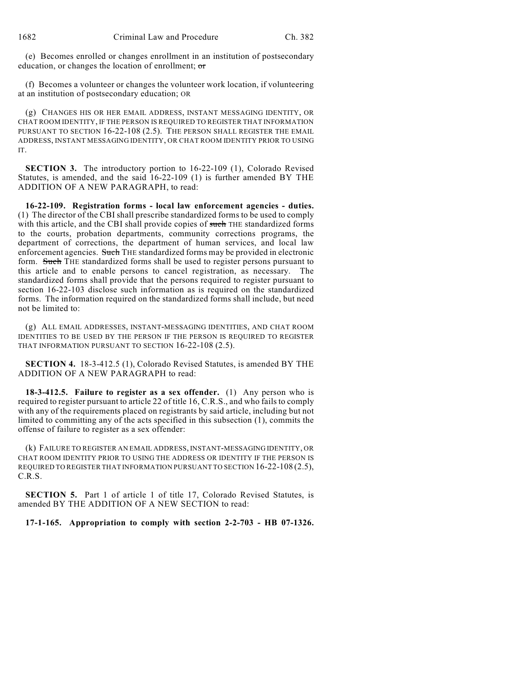(e) Becomes enrolled or changes enrollment in an institution of postsecondary education, or changes the location of enrollment; or

(f) Becomes a volunteer or changes the volunteer work location, if volunteering at an institution of postsecondary education; OR

(g) CHANGES HIS OR HER EMAIL ADDRESS, INSTANT MESSAGING IDENTITY, OR CHAT ROOM IDENTITY, IF THE PERSON IS REQUIRED TO REGISTER THAT INFORMATION PURSUANT TO SECTION 16-22-108 (2.5). THE PERSON SHALL REGISTER THE EMAIL ADDRESS, INSTANT MESSAGING IDENTITY, OR CHAT ROOM IDENTITY PRIOR TO USING IT.

**SECTION 3.** The introductory portion to 16-22-109 (1), Colorado Revised Statutes, is amended, and the said 16-22-109 (1) is further amended BY THE ADDITION OF A NEW PARAGRAPH, to read:

**16-22-109. Registration forms - local law enforcement agencies - duties.** (1) The director of the CBI shall prescribe standardized forms to be used to comply with this article, and the CBI shall provide copies of such THE standardized forms to the courts, probation departments, community corrections programs, the department of corrections, the department of human services, and local law enforcement agencies. Such THE standardized forms may be provided in electronic form. Such THE standardized forms shall be used to register persons pursuant to this article and to enable persons to cancel registration, as necessary. The standardized forms shall provide that the persons required to register pursuant to section 16-22-103 disclose such information as is required on the standardized forms. The information required on the standardized forms shall include, but need not be limited to:

(g) ALL EMAIL ADDRESSES, INSTANT-MESSAGING IDENTITIES, AND CHAT ROOM IDENTITIES TO BE USED BY THE PERSON IF THE PERSON IS REQUIRED TO REGISTER THAT INFORMATION PURSUANT TO SECTION 16-22-108 (2.5).

**SECTION 4.** 18-3-412.5 (1), Colorado Revised Statutes, is amended BY THE ADDITION OF A NEW PARAGRAPH to read:

**18-3-412.5. Failure to register as a sex offender.** (1) Any person who is required to register pursuant to article 22 of title 16, C.R.S., and who fails to comply with any of the requirements placed on registrants by said article, including but not limited to committing any of the acts specified in this subsection (1), commits the offense of failure to register as a sex offender:

(k) FAILURE TO REGISTER AN EMAIL ADDRESS, INSTANT-MESSAGING IDENTITY, OR CHAT ROOM IDENTITY PRIOR TO USING THE ADDRESS OR IDENTITY IF THE PERSON IS REQUIRED TO REGISTER THAT INFORMATION PURSUANT TO SECTION 16-22-108 (2.5), C.R.S.

**SECTION 5.** Part 1 of article 1 of title 17, Colorado Revised Statutes, is amended BY THE ADDITION OF A NEW SECTION to read:

## **17-1-165. Appropriation to comply with section 2-2-703 - HB 07-1326.**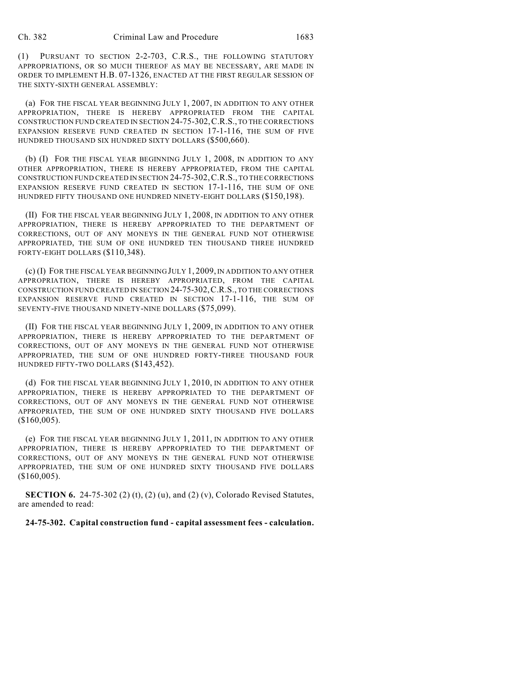(1) PURSUANT TO SECTION 2-2-703, C.R.S., THE FOLLOWING STATUTORY APPROPRIATIONS, OR SO MUCH THEREOF AS MAY BE NECESSARY, ARE MADE IN ORDER TO IMPLEMENT H.B. 07-1326, ENACTED AT THE FIRST REGULAR SESSION OF THE SIXTY-SIXTH GENERAL ASSEMBLY:

(a) FOR THE FISCAL YEAR BEGINNING JULY 1, 2007, IN ADDITION TO ANY OTHER APPROPRIATION, THERE IS HEREBY APPROPRIATED FROM THE CAPITAL CONSTRUCTION FUND CREATED IN SECTION 24-75-302,C.R.S., TO THE CORRECTIONS EXPANSION RESERVE FUND CREATED IN SECTION 17-1-116, THE SUM OF FIVE HUNDRED THOUSAND SIX HUNDRED SIXTY DOLLARS (\$500,660).

(b) (I) FOR THE FISCAL YEAR BEGINNING JULY 1, 2008, IN ADDITION TO ANY OTHER APPROPRIATION, THERE IS HEREBY APPROPRIATED, FROM THE CAPITAL CONSTRUCTION FUND CREATED IN SECTION 24-75-302,C.R.S., TO THE CORRECTIONS EXPANSION RESERVE FUND CREATED IN SECTION 17-1-116, THE SUM OF ONE HUNDRED FIFTY THOUSAND ONE HUNDRED NINETY-EIGHT DOLLARS (\$150,198).

(II) FOR THE FISCAL YEAR BEGINNING JULY 1, 2008, IN ADDITION TO ANY OTHER APPROPRIATION, THERE IS HEREBY APPROPRIATED TO THE DEPARTMENT OF CORRECTIONS, OUT OF ANY MONEYS IN THE GENERAL FUND NOT OTHERWISE APPROPRIATED, THE SUM OF ONE HUNDRED TEN THOUSAND THREE HUNDRED FORTY-EIGHT DOLLARS (\$110,348).

(c) (I) FOR THE FISCAL YEAR BEGINNING JULY 1, 2009, IN ADDITION TO ANY OTHER APPROPRIATION, THERE IS HEREBY APPROPRIATED, FROM THE CAPITAL CONSTRUCTION FUND CREATED IN SECTION 24-75-302,C.R.S., TO THE CORRECTIONS EXPANSION RESERVE FUND CREATED IN SECTION 17-1-116, THE SUM OF SEVENTY-FIVE THOUSAND NINETY-NINE DOLLARS (\$75,099).

(II) FOR THE FISCAL YEAR BEGINNING JULY 1, 2009, IN ADDITION TO ANY OTHER APPROPRIATION, THERE IS HEREBY APPROPRIATED TO THE DEPARTMENT OF CORRECTIONS, OUT OF ANY MONEYS IN THE GENERAL FUND NOT OTHERWISE APPROPRIATED, THE SUM OF ONE HUNDRED FORTY-THREE THOUSAND FOUR HUNDRED FIFTY-TWO DOLLARS (\$143,452).

(d) FOR THE FISCAL YEAR BEGINNING JULY 1, 2010, IN ADDITION TO ANY OTHER APPROPRIATION, THERE IS HEREBY APPROPRIATED TO THE DEPARTMENT OF CORRECTIONS, OUT OF ANY MONEYS IN THE GENERAL FUND NOT OTHERWISE APPROPRIATED, THE SUM OF ONE HUNDRED SIXTY THOUSAND FIVE DOLLARS (\$160,005).

(e) FOR THE FISCAL YEAR BEGINNING JULY 1, 2011, IN ADDITION TO ANY OTHER APPROPRIATION, THERE IS HEREBY APPROPRIATED TO THE DEPARTMENT OF CORRECTIONS, OUT OF ANY MONEYS IN THE GENERAL FUND NOT OTHERWISE APPROPRIATED, THE SUM OF ONE HUNDRED SIXTY THOUSAND FIVE DOLLARS (\$160,005).

**SECTION 6.** 24-75-302 (2) (t), (2) (u), and (2) (v), Colorado Revised Statutes, are amended to read:

**24-75-302. Capital construction fund - capital assessment fees - calculation.**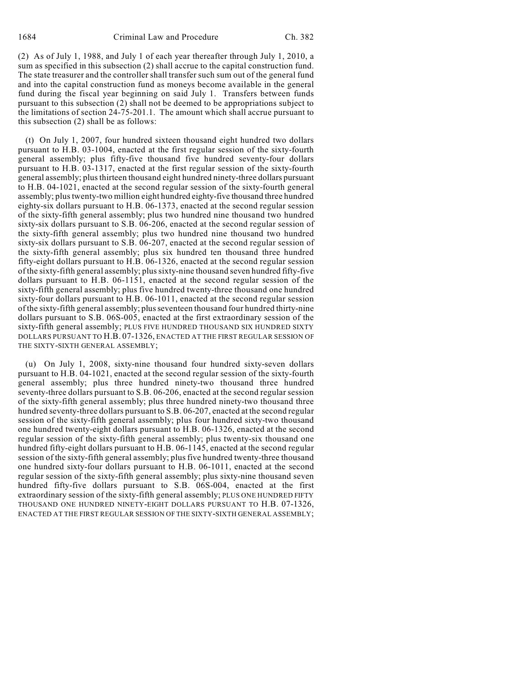(2) As of July 1, 1988, and July 1 of each year thereafter through July 1, 2010, a sum as specified in this subsection (2) shall accrue to the capital construction fund. The state treasurer and the controller shall transfer such sum out of the general fund and into the capital construction fund as moneys become available in the general fund during the fiscal year beginning on said July 1. Transfers between funds pursuant to this subsection (2) shall not be deemed to be appropriations subject to the limitations of section 24-75-201.1. The amount which shall accrue pursuant to this subsection (2) shall be as follows:

(t) On July 1, 2007, four hundred sixteen thousand eight hundred two dollars pursuant to H.B. 03-1004, enacted at the first regular session of the sixty-fourth general assembly; plus fifty-five thousand five hundred seventy-four dollars pursuant to H.B. 03-1317, enacted at the first regular session of the sixty-fourth general assembly; plus thirteen thousand eight hundred ninety-three dollars pursuant to H.B. 04-1021, enacted at the second regular session of the sixty-fourth general assembly; plus twenty-two million eight hundred eighty-five thousand three hundred eighty-six dollars pursuant to H.B. 06-1373, enacted at the second regular session of the sixty-fifth general assembly; plus two hundred nine thousand two hundred sixty-six dollars pursuant to S.B. 06-206, enacted at the second regular session of the sixty-fifth general assembly; plus two hundred nine thousand two hundred sixty-six dollars pursuant to S.B. 06-207, enacted at the second regular session of the sixty-fifth general assembly; plus six hundred ten thousand three hundred fifty-eight dollars pursuant to H.B. 06-1326, enacted at the second regular session of the sixty-fifth general assembly; plus sixty-nine thousand seven hundred fifty-five dollars pursuant to H.B. 06-1151, enacted at the second regular session of the sixty-fifth general assembly; plus five hundred twenty-three thousand one hundred sixty-four dollars pursuant to H.B. 06-1011, enacted at the second regular session of the sixty-fifth general assembly; plus seventeen thousand four hundred thirty-nine dollars pursuant to S.B. 06S-005, enacted at the first extraordinary session of the sixty-fifth general assembly; PLUS FIVE HUNDRED THOUSAND SIX HUNDRED SIXTY DOLLARS PURSUANT TO H.B. 07-1326, ENACTED AT THE FIRST REGULAR SESSION OF THE SIXTY-SIXTH GENERAL ASSEMBLY;

(u) On July 1, 2008, sixty-nine thousand four hundred sixty-seven dollars pursuant to H.B. 04-1021, enacted at the second regular session of the sixty-fourth general assembly; plus three hundred ninety-two thousand three hundred seventy-three dollars pursuant to S.B. 06-206, enacted at the second regular session of the sixty-fifth general assembly; plus three hundred ninety-two thousand three hundred seventy-three dollars pursuant to S.B. 06-207, enacted at the second regular session of the sixty-fifth general assembly; plus four hundred sixty-two thousand one hundred twenty-eight dollars pursuant to H.B. 06-1326, enacted at the second regular session of the sixty-fifth general assembly; plus twenty-six thousand one hundred fifty-eight dollars pursuant to H.B. 06-1145, enacted at the second regular session of the sixty-fifth general assembly; plus five hundred twenty-three thousand one hundred sixty-four dollars pursuant to H.B. 06-1011, enacted at the second regular session of the sixty-fifth general assembly; plus sixty-nine thousand seven hundred fifty-five dollars pursuant to S.B. 06S-004, enacted at the first extraordinary session of the sixty-fifth general assembly; PLUS ONE HUNDRED FIFTY THOUSAND ONE HUNDRED NINETY-EIGHT DOLLARS PURSUANT TO H.B. 07-1326, ENACTED AT THE FIRST REGULAR SESSION OF THE SIXTY-SIXTH GENERAL ASSEMBLY;